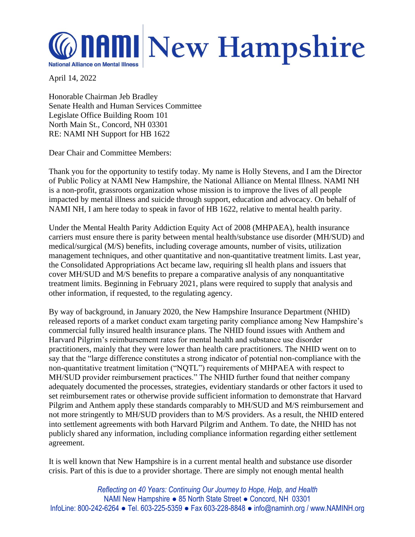

April 14, 2022

Honorable Chairman Jeb Bradley Senate Health and Human Services Committee Legislate Office Building Room 101 North Main St., Concord, NH 03301 RE: NAMI NH Support for HB 1622

Dear Chair and Committee Members:

Thank you for the opportunity to testify today. My name is Holly Stevens, and I am the Director of Public Policy at NAMI New Hampshire, the National Alliance on Mental Illness. NAMI NH is a non-profit, grassroots organization whose mission is to improve the lives of all people impacted by mental illness and suicide through support, education and advocacy. On behalf of NAMI NH, I am here today to speak in favor of HB 1622, relative to mental health parity.

Under the Mental Health Parity Addiction Equity Act of 2008 (MHPAEA), health insurance carriers must ensure there is parity between mental health/substance use disorder (MH/SUD) and medical/surgical (M/S) benefits, including coverage amounts, number of visits, utilization management techniques, and other quantitative and non-quantitative treatment limits. Last year, the Consolidated Appropriations Act became law, requiring sll health plans and issuers that cover MH/SUD and M/S benefits to prepare a comparative analysis of any nonquantitative treatment limits. Beginning in February 2021, plans were required to supply that analysis and other information, if requested, to the regulating agency.

By way of background, in January 2020, the New Hampshire Insurance Department (NHID) released reports of a market conduct exam targeting parity compliance among New Hampshire's commercial fully insured health insurance plans. The NHID found issues with Anthem and Harvard Pilgrim's reimbursement rates for mental health and substance use disorder practitioners, mainly that they were lower than health care practitioners. The NHID went on to say that the "large difference constitutes a strong indicator of potential non-compliance with the non-quantitative treatment limitation ("NQTL") requirements of MHPAEA with respect to MH/SUD provider reimbursement practices." The NHID further found that neither company adequately documented the processes, strategies, evidentiary standards or other factors it used to set reimbursement rates or otherwise provide sufficient information to demonstrate that Harvard Pilgrim and Anthem apply these standards comparably to MH/SUD and M/S reimbursement and not more stringently to MH/SUD providers than to M/S providers. As a result, the NHID entered into settlement agreements with both Harvard Pilgrim and Anthem. To date, the NHID has not publicly shared any information, including compliance information regarding either settlement agreement.

It is well known that New Hampshire is in a current mental health and substance use disorder crisis. Part of this is due to a provider shortage. There are simply not enough mental health

*Reflecting on 40 Years: Continuing Our Journey to Hope, Help, and Health* NAMI New Hampshire ● 85 North State Street ● Concord, NH 03301 InfoLine: 800-242-6264 ● Tel. 603-225-5359 ● Fax 603-228-8848 ● info@naminh.org / www.NAMINH.org